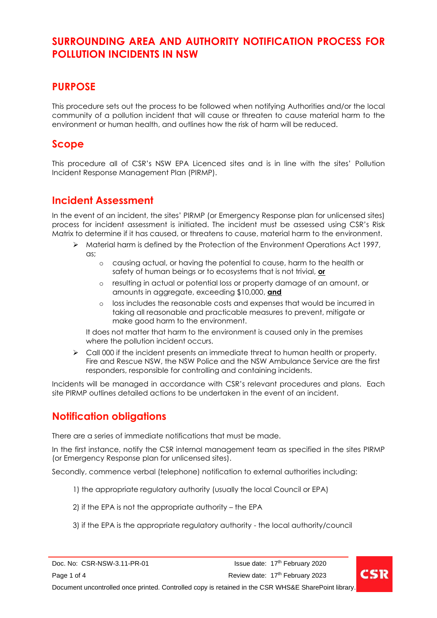### **PURPOSE**

This procedure sets out the process to be followed when notifying Authorities and/or the local community of a pollution incident that will cause or threaten to cause material harm to the environment or human health, and outlines how the risk of harm will be reduced.

### **Scope**

This procedure all of CSR's NSW EPA Licenced sites and is in line with the sites' Pollution Incident Response Management Plan (PIRMP).

### **Incident Assessment**

In the event of an incident, the sites' PIRMP (or Emergency Response plan for unlicensed sites) process for incident assessment is initiated. The incident must be assessed using CSR's Risk Matrix to determine if it has caused, or threatens to cause, material harm to the environment.

- ➢ Material harm is defined by the Protection of the Environment Operations Act 1997, as;
	- o causing actual, or having the potential to cause, harm to the health or safety of human beings or to ecosystems that is not trivial, **or**
	- o resulting in actual or potential loss or property damage of an amount, or amounts in aggregate, exceeding \$10,000, **and**
	- o loss includes the reasonable costs and expenses that would be incurred in taking all reasonable and practicable measures to prevent, mitigate or make good harm to the environment.

It does not matter that harm to the environment is caused only in the premises where the pollution incident occurs.

 $\triangleright$  Call 000 if the incident presents an immediate threat to human health or property. Fire and Rescue NSW, the NSW Police and the NSW Ambulance Service are the first responders, responsible for controlling and containing incidents.

Incidents will be managed in accordance with CSR's relevant procedures and plans. Each site PIRMP outlines detailed actions to be undertaken in the event of an incident.

## **Notification obligations**

There are a series of immediate notifications that must be made.

In the first instance, notify the CSR internal management team as specified in the sites PIRMP (or Emergency Response plan for unlicensed sites).

Secondly, commence verbal (telephone) notification to external authorities including:

- 1) the appropriate regulatory authority (usually the local Council or EPA)
- 2) if the EPA is not the appropriate authority the EPA
- 3) if the EPA is the appropriate regulatory authority the local authority/council

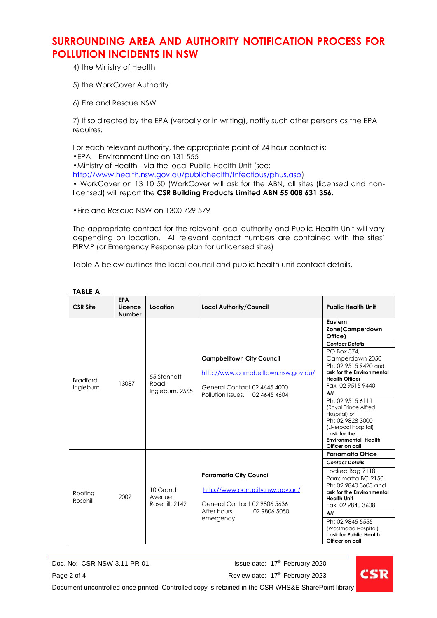4) the Ministry of Health

5) the WorkCover Authority

6) Fire and Rescue NSW

7) If so directed by the EPA (verbally or in writing), notify such other persons as the EPA requires.

For each relevant authority, the appropriate point of 24 hour contact is: •EPA – Environment Line on 131 555 •Ministry of Health - via the local Public Health Unit (see:

[http://www.health.nsw.gov.au/publichealth/Infectious/phus.asp\)](http://www.health.nsw.gov.au/publichealth/Infectious/phus.asp)

• WorkCover on 13 10 50 (WorkCover will ask for the ABN, all sites (licensed and nonlicensed) will report the **CSR Building Products Limited ABN 55 008 631 356.**

•Fire and Rescue NSW on 1300 729 579

The appropriate contact for the relevant local authority and Public Health Unit will vary depending on location. All relevant contact numbers are contained with the sites' PIRMP (or Emergency Response plan for unlicensed sites)

Table A below outlines the local council and public health unit contact details.

| <b>CSR Site</b>              | <b>EPA</b><br>Licence<br><b>Number</b> | Location                                | <b>Local Authority/Council</b>                                                                                                                 | <b>Public Health Unit</b>                                                                                                                                                                                                                                                                                                                                                             |
|------------------------------|----------------------------------------|-----------------------------------------|------------------------------------------------------------------------------------------------------------------------------------------------|---------------------------------------------------------------------------------------------------------------------------------------------------------------------------------------------------------------------------------------------------------------------------------------------------------------------------------------------------------------------------------------|
| <b>Bradford</b><br>Ingleburn | 13087                                  | 55 Stennett<br>Road,<br>Ingleburn, 2565 | <b>Campbelltown City Council</b><br>http://www.campbelltown.nsw.gov.au/<br>General Contact 02 4645 4000<br>Pollution Issues. 02 4645 4604      | Eastern<br>Zone(Camperdown<br>Office)<br><b>Contact Details</b><br>PO Box 374,<br>Camperdown 2050<br>Ph: 02 9515 9420 and<br>ask for the Environmental<br><b>Health Officer</b><br>Fax: 02 9515 9440<br>AH<br>Ph: 02 9515 6111<br>(Royal Prince Alfred<br>Hospital) or<br>Ph: 02 9828 3000<br>(Liverpool Hospital)<br>- ask for the<br><b>Environmental Health</b><br>Officer on call |
|                              |                                        |                                         |                                                                                                                                                | Parramatta Office                                                                                                                                                                                                                                                                                                                                                                     |
| Roofing<br>Rosehill          | 2007                                   | 10 Grand<br>Avenue.<br>Rosehill, 2142   | <b>Parramatta City Council</b><br>http://www.parracity.nsw.gov.au/<br>General Contact 02 9806 5636<br>02 9806 5050<br>After hours<br>emergency | <b>Contact Details</b><br>Locked Bag 7118,<br>Parramatta BC 2150<br>Ph: 02 9840 3603 and<br>ask for the Environmental<br><b>Health Unit</b><br>Fax: 02 9840 3608<br>AH<br>Ph: 02 9845 5555<br>(Westmead Hospital)<br>- ask for Public Health<br>Officer on call                                                                                                                       |

#### **TABLE A**

Doc. No: CSR-NSW-3.11-PR-01 Page 2 of 4 **Page 2 of 4** Review date: 17<sup>th</sup> February 2023

Issue date: 17<sup>th</sup> February 2020



Document uncontrolled once printed. Controlled copy is retained in the CSR WHS&E SharePoint library.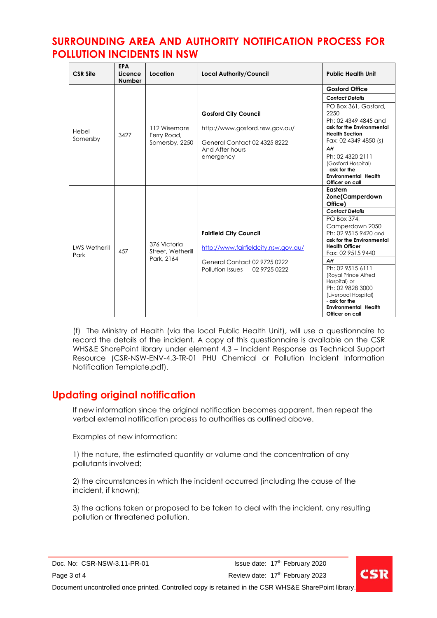| <b>CSR Site</b>              | <b>EPA</b><br>Licence<br><b>Number</b> | Location                                        | <b>Local Authority/Council</b>                                                                                                            | <b>Public Health Unit</b>                                                                                                                                                                                                                                                                                                                                                                    |
|------------------------------|----------------------------------------|-------------------------------------------------|-------------------------------------------------------------------------------------------------------------------------------------------|----------------------------------------------------------------------------------------------------------------------------------------------------------------------------------------------------------------------------------------------------------------------------------------------------------------------------------------------------------------------------------------------|
| Hebel<br>Somersby            | 3427                                   | 112 Wisemans<br>Ferry Road,<br>Somersby, 2250   |                                                                                                                                           | <b>Gosford Office</b>                                                                                                                                                                                                                                                                                                                                                                        |
|                              |                                        |                                                 |                                                                                                                                           | <b>Contact Details</b>                                                                                                                                                                                                                                                                                                                                                                       |
|                              |                                        |                                                 | <b>Gosford City Council</b><br>http://www.gosford.nsw.gov.au/<br>General Contact 02 4325 8222<br>And After hours<br>emergency             | PO Box 361, Gosford,<br>2250<br>Ph: 02 4349 4845 and<br>ask for the Environmental<br><b>Health Section</b><br>Fax: 02 4349 4850 (s)                                                                                                                                                                                                                                                          |
|                              |                                        |                                                 |                                                                                                                                           | AН                                                                                                                                                                                                                                                                                                                                                                                           |
|                              |                                        |                                                 |                                                                                                                                           | Ph: 02 4320 2111<br>(Gosford Hospital)<br>- ask for the<br><b>Environmental Health</b><br>Officer on call                                                                                                                                                                                                                                                                                    |
| <b>LWS Wetherill</b><br>Park | 457                                    | 376 Victoria<br>Street, Wetherill<br>Park, 2164 | <b>Fairfield City Council</b><br>http://www.fairfieldcity.nsw.gov.au/<br>General Contact 02 9725 0222<br>02 9725 0222<br>Pollution Issues | Eastern<br><b>Zone(Camperdown</b><br>Office)<br><b>Contact Details</b><br>PO Box 374,<br>Camperdown 2050<br>Ph: 02 9515 9420 and<br>ask for the Environmental<br><b>Health Officer</b><br>Fax: 02 9515 9440<br>AH<br>Ph: 02 9515 6111<br>(Royal Prince Alfred<br>Hospital) or<br>Ph: 02 9828 3000<br>(Liverpool Hospital)<br>- ask for the<br><b>Environmental Health</b><br>Officer on call |

(f) The Ministry of Health (via the local Public Health Unit), will use a questionnaire to record the details of the incident. A copy of this questionnaire is available on the CSR WHS&E SharePoint library under element 4.3 – Incident Response as Technical Support Resource [\(CSR-NSW-ENV-4.3-TR-01 PHU Chemical or Pollution Incident Information](http://intranet.csr.com.au/sites/whs/WHSRes/CSR-NSW-ENV-4.3-TR-01%20%20PHU%20Chemical%20or%20Pollution%20Incident%20Information%20Notification%20Template.pdf)  [Notification Template.pdf\)](http://intranet.csr.com.au/sites/whs/WHSRes/CSR-NSW-ENV-4.3-TR-01%20%20PHU%20Chemical%20or%20Pollution%20Incident%20Information%20Notification%20Template.pdf).

## **Updating original notification**

If new information since the original notification becomes apparent, then repeat the verbal external notification process to authorities as outlined above.

Examples of new information:

1) the nature, the estimated quantity or volume and the concentration of any pollutants involved;

2) the circumstances in which the incident occurred (including the cause of the incident, if known);

3) the actions taken or proposed to be taken to deal with the incident, any resulting pollution or threatened pollution.